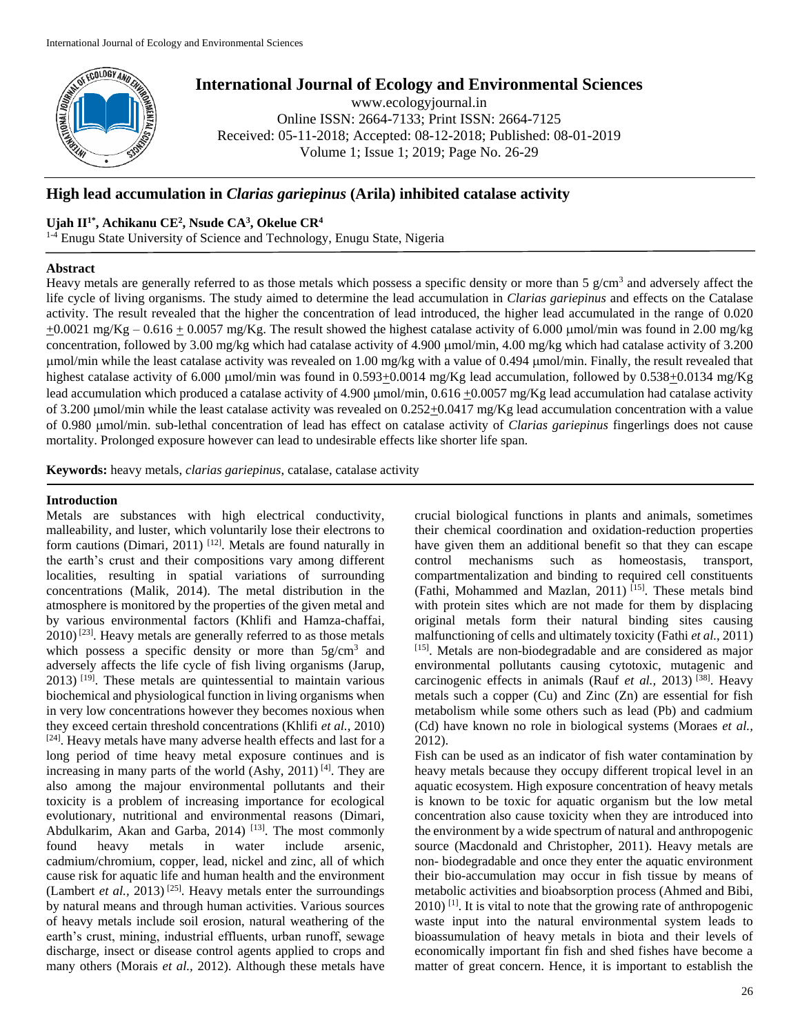

# **International Journal of Ecology and Environmental Sciences**

www.ecologyjournal.in Online ISSN: 2664-7133; Print ISSN: 2664-7125 Received: 05-11-2018; Accepted: 08-12-2018; Published: 08-01-2019 Volume 1; Issue 1; 2019; Page No. 26-29

## **High lead accumulation in** *Clarias gariepinus* **(Arila) inhibited catalase activity**

## **Ujah II1\* , Achikanu CE<sup>2</sup> , Nsude CA<sup>3</sup> , Okelue CR<sup>4</sup>**

<sup>1-4</sup> Enugu State University of Science and Technology, Enugu State, Nigeria

## **Abstract**

Heavy metals are generally referred to as those metals which possess a specific density or more than  $5 \text{ g/cm}^3$  and adversely affect the life cycle of living organisms. The study aimed to determine the lead accumulation in *Clarias gariepinus* and effects on the Catalase activity. The result revealed that the higher the concentration of lead introduced, the higher lead accumulated in the range of 0.020  $\pm 0.0021$  mg/Kg – 0.616  $\pm$  0.0057 mg/Kg. The result showed the highest catalase activity of 6.000 µmol/min was found in 2.00 mg/kg concentration, followed by 3.00 mg/kg which had catalase activity of 4.900 µmol/min, 4.00 mg/kg which had catalase activity of 3.200 umol/min while the least catalase activity was revealed on 1.00 mg/kg with a value of 0.494 µmol/min. Finally, the result revealed that highest catalase activity of 6.000  $\mu$ mol/min was found in 0.593 $\pm$ 0.0014 mg/Kg lead accumulation, followed by 0.538 $\pm$ 0.0134 mg/Kg lead accumulation which produced a catalase activity of 4.900  $\mu$ mol/min, 0.616 +0.0057 mg/Kg lead accumulation had catalase activity of 3.200  $\mu$ mol/min while the least catalase activity was revealed on 0.252 $\pm$ 0.0417 mg/Kg lead accumulation concentration with a value of 0.980 mol/min. sub-lethal concentration of lead has effect on catalase activity of *Clarias gariepinus* fingerlings does not cause mortality. Prolonged exposure however can lead to undesirable effects like shorter life span.

**Keywords:** heavy metals, *clarias gariepinus*, catalase, catalase activity

#### **Introduction**

Metals are substances with high electrical conductivity, malleability, and luster, which voluntarily lose their electrons to form cautions (Dimari, 2011)<sup>[12]</sup>. Metals are found naturally in the earth's crust and their compositions vary among different localities, resulting in spatial variations of surrounding concentrations (Malik, 2014). The metal distribution in the atmosphere is monitored by the properties of the given metal and by various environmental factors (Khlifi and Hamza-chaffai,  $2010$ <sup>[23]</sup>. Heavy metals are generally referred to as those metals which possess a specific density or more than  $5g/cm<sup>3</sup>$  and adversely affects the life cycle of fish living organisms (Jarup,  $2013$ ) <sup>[19]</sup>. These metals are quintessential to maintain various biochemical and physiological function in living organisms when in very low concentrations however they becomes noxious when they exceed certain threshold concentrations (Khlifi *et al.,* 2010) [24]. Heavy metals have many adverse health effects and last for a long period of time heavy metal exposure continues and is increasing in many parts of the world  $(Ashy, 2011)$ <sup>[4]</sup>. They are also among the majour environmental pollutants and their toxicity is a problem of increasing importance for ecological evolutionary, nutritional and environmental reasons (Dimari, Abdulkarim, Akan and Garba, 2014) <sup>[13]</sup>. The most commonly found heavy metals in water include arsenic, cadmium/chromium, copper, lead, nickel and zinc, all of which cause risk for aquatic life and human health and the environment (Lambert *et al.,* 2013) [25]. Heavy metals enter the surroundings by natural means and through human activities. Various sources of heavy metals include soil erosion, natural weathering of the earth's crust, mining, industrial effluents, urban runoff, sewage discharge, insect or disease control agents applied to crops and many others (Morais *et al.,* 2012). Although these metals have

crucial biological functions in plants and animals, sometimes their chemical coordination and oxidation-reduction properties have given them an additional benefit so that they can escape control mechanisms such as homeostasis, transport, compartmentalization and binding to required cell constituents (Fathi, Mohammed and Mazlan, 2011) [15]. These metals bind with protein sites which are not made for them by displacing original metals form their natural binding sites causing malfunctioning of cells and ultimately toxicity (Fathi *et al.*, 2011) [15]. Metals are non-biodegradable and are considered as major environmental pollutants causing cytotoxic, mutagenic and carcinogenic effects in animals (Rauf *et al.,* 2013) [38]. Heavy metals such a copper (Cu) and Zinc (Zn) are essential for fish metabolism while some others such as lead (Pb) and cadmium (Cd) have known no role in biological systems (Moraes *et al.,* 2012).

Fish can be used as an indicator of fish water contamination by heavy metals because they occupy different tropical level in an aquatic ecosystem. High exposure concentration of heavy metals is known to be toxic for aquatic organism but the low metal concentration also cause toxicity when they are introduced into the environment by a wide spectrum of natural and anthropogenic source (Macdonald and Christopher, 2011). Heavy metals are non- biodegradable and once they enter the aquatic environment their bio-accumulation may occur in fish tissue by means of metabolic activities and bioabsorption process (Ahmed and Bibi,  $2010$ ) <sup>[1]</sup>. It is vital to note that the growing rate of anthropogenic waste input into the natural environmental system leads to bioassumulation of heavy metals in biota and their levels of economically important fin fish and shed fishes have become a matter of great concern. Hence, it is important to establish the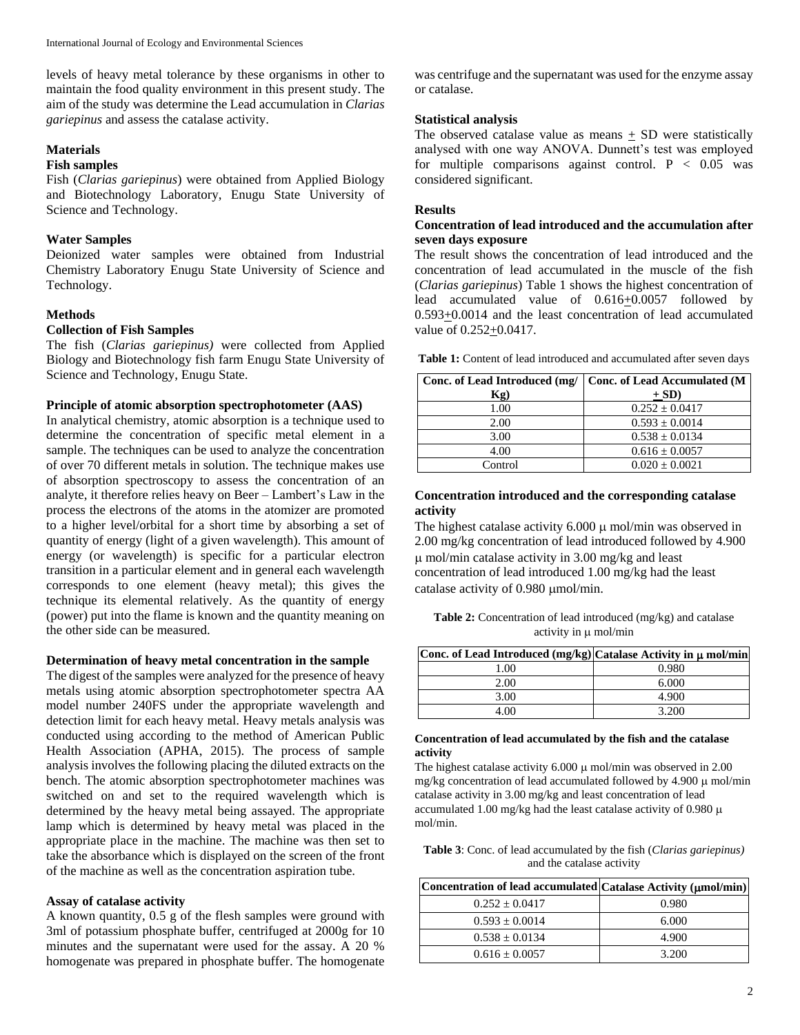levels of heavy metal tolerance by these organisms in other to maintain the food quality environment in this present study. The aim of the study was determine the Lead accumulation in *Clarias gariepinus* and assess the catalase activity.

## **Materials**

## **Fish samples**

Fish (*Clarias gariepinus*) were obtained from Applied Biology and Biotechnology Laboratory, Enugu State University of Science and Technology.

#### **Water Samples**

Deionized water samples were obtained from Industrial Chemistry Laboratory Enugu State University of Science and Technology.

## **Methods**

## **Collection of Fish Samples**

The fish (*Clarias gariepinus)* were collected from Applied Biology and Biotechnology fish farm Enugu State University of Science and Technology, Enugu State.

## **Principle of atomic absorption spectrophotometer (AAS)**

In analytical chemistry, atomic absorption is a technique used to determine the concentration of specific metal element in a sample. The techniques can be used to analyze the concentration of over 70 different metals in solution. The technique makes use of absorption spectroscopy to assess the concentration of an analyte, it therefore relies heavy on Beer – Lambert's Law in the process the electrons of the atoms in the atomizer are promoted to a higher level/orbital for a short time by absorbing a set of quantity of energy (light of a given wavelength). This amount of energy (or wavelength) is specific for a particular electron transition in a particular element and in general each wavelength corresponds to one element (heavy metal); this gives the technique its elemental relatively. As the quantity of energy (power) put into the flame is known and the quantity meaning on the other side can be measured.

## **Determination of heavy metal concentration in the sample**

The digest of the samples were analyzed for the presence of heavy metals using atomic absorption spectrophotometer spectra AA model number 240FS under the appropriate wavelength and detection limit for each heavy metal. Heavy metals analysis was conducted using according to the method of American Public Health Association (APHA, 2015). The process of sample analysis involves the following placing the diluted extracts on the bench. The atomic absorption spectrophotometer machines was switched on and set to the required wavelength which is determined by the heavy metal being assayed. The appropriate lamp which is determined by heavy metal was placed in the appropriate place in the machine. The machine was then set to take the absorbance which is displayed on the screen of the front of the machine as well as the concentration aspiration tube.

#### **Assay of catalase activity**

A known quantity, 0.5 g of the flesh samples were ground with 3ml of potassium phosphate buffer, centrifuged at 2000g for 10 minutes and the supernatant were used for the assay. A 20 % homogenate was prepared in phosphate buffer. The homogenate

was centrifuge and the supernatant was used for the enzyme assay or catalase.

### **Statistical analysis**

The observed catalase value as means  $+$  SD were statistically analysed with one way ANOVA. Dunnett's test was employed for multiple comparisons against control.  $P < 0.05$  was considered significant.

#### **Results**

## **Concentration of lead introduced and the accumulation after seven days exposure**

The result shows the concentration of lead introduced and the concentration of lead accumulated in the muscle of the fish (*Clarias gariepinus*) Table 1 shows the highest concentration of lead accumulated value of 0.616+0.0057 followed by 0.593+0.0014 and the least concentration of lead accumulated value of  $0.252+0.0417$ .

| Table 1: Content of lead introduced and accumulated after seven days |
|----------------------------------------------------------------------|
|----------------------------------------------------------------------|

|         | Conc. of Lead Introduced (mg/   Conc. of Lead Accumulated (M |
|---------|--------------------------------------------------------------|
| Kg)     | $+ SD$                                                       |
| 1.00    | $0.252 \pm 0.0417$                                           |
| 2.00    | $0.593 \pm 0.0014$                                           |
| 3.00    | $0.538 \pm 0.0134$                                           |
| 4.00    | $0.616 \pm 0.0057$                                           |
| Control | $0.020 \pm 0.0021$                                           |

## **Concentration introduced and the corresponding catalase activity**

The highest catalase activity  $6.000 \mu$  mol/min was observed in 2.00 mg/kg concentration of lead introduced followed by 4.900  $\mu$  mol/min catalase activity in 3.00 mg/kg and least concentration of lead introduced 1.00 mg/kg had the least catalase activity of 0.980 µmol/min.

**Table 2:** Concentration of lead introduced (mg/kg) and catalase activity in  $\mu$  mol/min

| [Conc. of Lead Introduced (mg/kg) Catalase Activity in $\mu$ mol/min |       |
|----------------------------------------------------------------------|-------|
| .00                                                                  | 0.980 |
| 2.00                                                                 | 6.000 |
| 3.00                                                                 | 4.900 |
| . ററ                                                                 | 3.200 |

#### **Concentration of lead accumulated by the fish and the catalase activity**

The highest catalase activity  $6.000 \mu$  mol/min was observed in 2.00 mg/kg concentration of lead accumulated followed by 4.900  $\mu$  mol/min catalase activity in 3.00 mg/kg and least concentration of lead accumulated 1.00 mg/kg had the least catalase activity of 0.980  $\mu$ mol/min.

**Table 3**: Conc. of lead accumulated by the fish (*Clarias gariepinus)*  and the catalase activity

| Concentration of lead accumulated Catalase Activity (umol/min) |       |
|----------------------------------------------------------------|-------|
| $0.252 \pm 0.0417$                                             | 0.980 |
| $0.593 \pm 0.0014$                                             | 6.000 |
| $0.538 \pm 0.0134$                                             | 4.900 |
| $0.616 \pm 0.0057$                                             | 3.200 |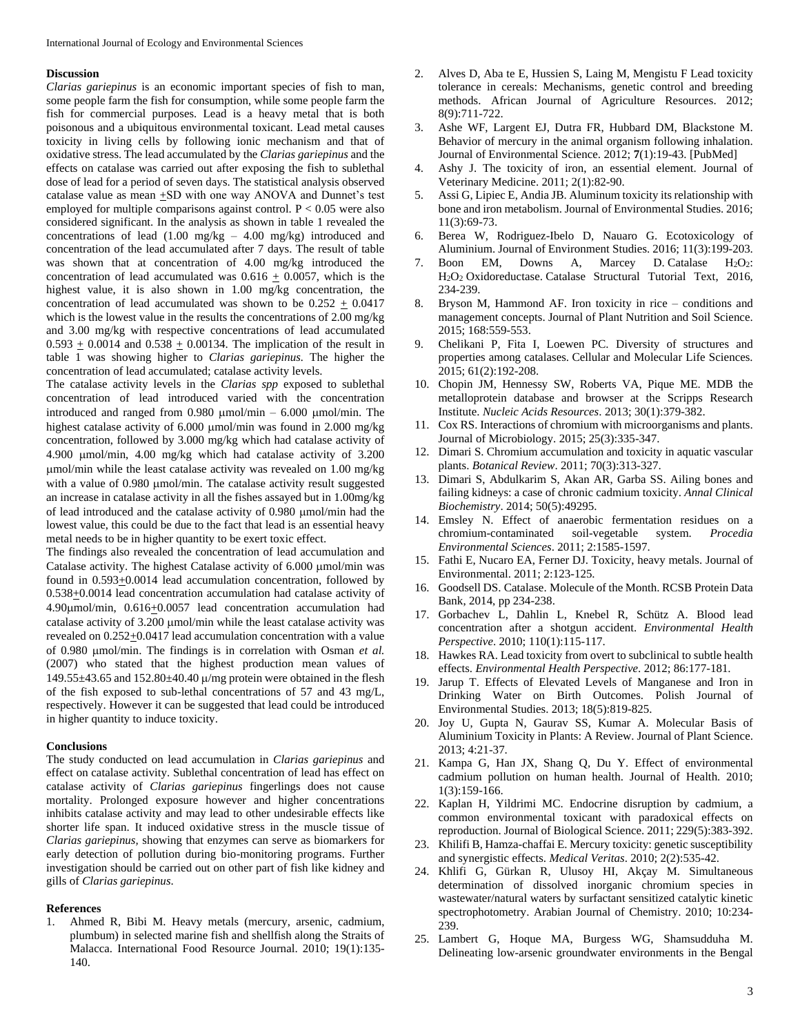#### **Discussion**

*Clarias gariepinus* is an economic important species of fish to man, some people farm the fish for consumption, while some people farm the fish for commercial purposes. Lead is a heavy metal that is both poisonous and a ubiquitous environmental toxicant. Lead metal causes toxicity in living cells by following ionic mechanism and that of oxidative stress. The lead accumulated by the *Clarias gariepinus* and the effects on catalase was carried out after exposing the fish to sublethal dose of lead for a period of seven days. The statistical analysis observed catalase value as mean  $\pm SD$  with one way ANOVA and Dunnet's test employed for multiple comparisons against control.  $P < 0.05$  were also considered significant. In the analysis as shown in table 1 revealed the concentrations of lead (1.00 mg/kg – 4.00 mg/kg) introduced and concentration of the lead accumulated after 7 days. The result of table was shown that at concentration of 4.00 mg/kg introduced the concentration of lead accumulated was  $0.616 + 0.0057$ , which is the highest value, it is also shown in 1.00 mg/kg concentration, the concentration of lead accumulated was shown to be  $0.252 \pm 0.0417$ which is the lowest value in the results the concentrations of 2.00 mg/kg and 3.00 mg/kg with respective concentrations of lead accumulated  $0.593 \pm 0.0014$  and  $0.538 \pm 0.00134$ . The implication of the result in table 1 was showing higher to *Clarias gariepinus.* The higher the concentration of lead accumulated; catalase activity levels.

The catalase activity levels in the *Clarias spp* exposed to sublethal concentration of lead introduced varied with the concentration introduced and ranged from 0.980  $\mu$ mol/min – 6.000  $\mu$ mol/min. The highest catalase activity of  $6.000 \mu$ mol/min was found in 2.000 mg/kg concentration, followed by 3.000 mg/kg which had catalase activity of 4.900 mol/min, 4.00 mg/kg which had catalase activity of 3.200 mol/min while the least catalase activity was revealed on 1.00 mg/kg with a value of 0.980 µmol/min. The catalase activity result suggested an increase in catalase activity in all the fishes assayed but in 1.00mg/kg of lead introduced and the catalase activity of  $0.980 \mu$ mol/min had the lowest value, this could be due to the fact that lead is an essential heavy metal needs to be in higher quantity to be exert toxic effect.

The findings also revealed the concentration of lead accumulation and Catalase activity. The highest Catalase activity of 6.000 µmol/min was found in 0.593+0.0014 lead accumulation concentration, followed by 0.538+0.0014 lead concentration accumulation had catalase activity of 4.90mol/min, 0.616+0.0057 lead concentration accumulation had catalase activity of 3.200 µmol/min while the least catalase activity was revealed on 0.252+0.0417 lead accumulation concentration with a value of 0.980 mol/min. The findings is in correlation with Osman *et al.* (2007) who stated that the highest production mean values of 149.55 $\pm$ 43.65 and 152.80 $\pm$ 40.40  $\mu$ /mg protein were obtained in the flesh of the fish exposed to sub-lethal concentrations of 57 and 43 mg/L, respectively. However it can be suggested that lead could be introduced in higher quantity to induce toxicity.

#### **Conclusions**

The study conducted on lead accumulation in *Clarias gariepinus* and effect on catalase activity. Sublethal concentration of lead has effect on catalase activity of *Clarias gariepinus* fingerlings does not cause mortality. Prolonged exposure however and higher concentrations inhibits catalase activity and may lead to other undesirable effects like shorter life span. It induced oxidative stress in the muscle tissue of *Clarias gariepinus,* showing that enzymes can serve as biomarkers for early detection of pollution during bio-monitoring programs. Further investigation should be carried out on other part of fish like kidney and gills of *Clarias gariepinus*.

#### **References**

1. Ahmed R, Bibi M. Heavy metals (mercury, arsenic, cadmium, plumbum) in selected marine fish and shellfish along the Straits of Malacca. International Food Resource Journal. 2010; 19(1):135- 140.

- 2. Alves D, Aba te E, Hussien S, Laing M, Mengistu F Lead toxicity tolerance in cereals: Mechanisms, genetic control and breeding methods. African Journal of Agriculture Resources. 2012; 8(9):711-722.
- 3. Ashe WF, Largent EJ, Dutra FR, Hubbard DM, Blackstone M. Behavior of mercury in the animal organism following inhalation. Journal of Environmental Science. 2012; **7**(1):19-43. [PubMed]
- 4. Ashy J. The toxicity of iron, an essential element. Journal of Veterinary Medicine. 2011; 2(1):82-90.
- 5. Assi G, Lipiec E, Andia JB. Aluminum toxicity its relationship with bone and iron metabolism. Journal of Environmental Studies. 2016; 11(3):69-73.
- 6. Berea W, Rodriguez-Ibelo D, Nauaro G. Ecotoxicology of Aluminium. Journal of Environment Studies. 2016; 11(3):199-203.
- 7. Boon EM, Downs A, Marcey D. Catalase  $H_2O_2$ : H2O<sup>2</sup> Oxidoreductase. Catalase Structural Tutorial Text, 2016, 234-239.
- 8. Bryson M, Hammond AF. Iron toxicity in rice conditions and management concepts. Journal of Plant Nutrition and Soil Science. 2015; 168:559-553.
- 9. Chelikani P, Fita I, Loewen PC. Diversity of structures and properties among catalases. Cellular and Molecular Life Sciences. 2015; 61(2):192-208.
- 10. Chopin JM, Hennessy SW, Roberts VA, Pique ME. MDB the metalloprotein database and browser at the Scripps Research Institute. *Nucleic Acids Resources*. 2013; 30(1):379-382.
- 11. Cox RS. Interactions of chromium with microorganisms and plants. Journal of Microbiology. 2015; 25(3):335-347.
- 12. Dimari S. Chromium accumulation and toxicity in aquatic vascular plants. *Botanical Review*. 2011; 70(3):313-327.
- 13. Dimari S, Abdulkarim S, Akan AR, Garba SS. Ailing bones and failing kidneys: a case of chronic cadmium toxicity. *Annal Clinical Biochemistry*. 2014; 50(5):49295.
- 14. Emsley N. Effect of anaerobic fermentation residues on a chromium-contaminated soil-vegetable system. *Procedia Environmental Sciences*. 2011; 2:1585-1597.
- 15. Fathi E, Nucaro EA, Ferner DJ. Toxicity, heavy metals. Journal of Environmental. 2011; 2:123-125.
- 16. Goodsell DS. Catalase. Molecule of the Month. RCSB Protein Data Bank, 2014, pp 234-238.
- 17. Gorbachev L, Dahlin L, Knebel R, Schütz A. Blood lead concentration after a shotgun accident. *Environmental Health Perspective*. 2010; 110(1):115-117.
- 18. Hawkes RA. Lead toxicity from overt to subclinical to subtle health effects. *Environmental Health Perspective*. 2012; 86:177-181.
- 19. Jarup T. Effects of Elevated Levels of Manganese and Iron in Drinking Water on Birth Outcomes. Polish Journal of Environmental Studies. 2013; 18(5):819-825.
- 20. Joy U, Gupta N, Gaurav SS, Kumar A. Molecular Basis of Aluminium Toxicity in Plants: A Review. Journal of Plant Science. 2013; 4:21-37.
- 21. Kampa G, Han JX, Shang Q, Du Y. Effect of environmental cadmium pollution on human health. Journal of Health. 2010; 1(3):159-166.
- 22. Kaplan H, Yildrimi MC. Endocrine disruption by cadmium, a common environmental toxicant with paradoxical effects on reproduction. Journal of Biological Science. 2011; 229(5):383-392.
- 23. Khilifi B, Hamza-chaffai E. Mercury toxicity: genetic susceptibility and synergistic effects. *Medical Veritas*. 2010; 2(2):535-42.
- 24. Khlifi G, Gürkan R, Ulusoy HI, Akçay M. Simultaneous determination of dissolved inorganic chromium species in wastewater/natural waters by surfactant sensitized catalytic kinetic spectrophotometry. Arabian Journal of Chemistry. 2010; 10:234- 239.
- 25. Lambert G, Hoque MA, Burgess WG, Shamsudduha M. Delineating low-arsenic groundwater environments in the Bengal